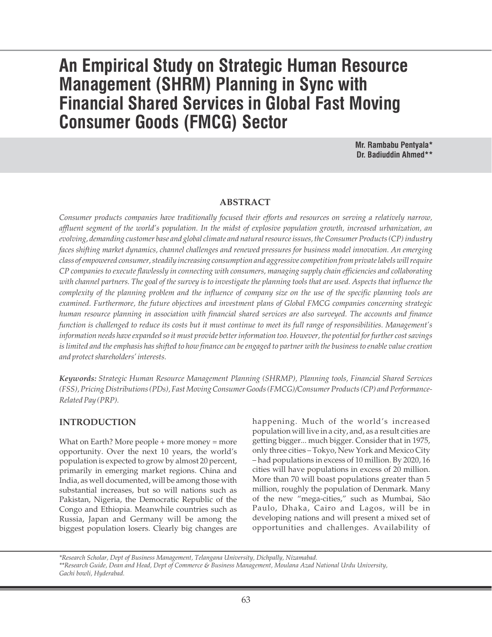# **An Empirical Study on Strategic Human Resource Management (SHRM) Planning in Sync with Financial Shared Services in Global Fast Moving Consumer Goods (FMCG) Sector**

**Mr. Rambabu Pentyala\* Dr. Badiuddin Ahmed\*\***

#### **ABSTRACT**

*Consumer products companies have traditionally focused their efforts and resources on serving a relatively narrow, affluent segment of the world's population. In the midst of explosive population growth, increased urbanization, an evolving, demanding customer base and global climate and natural resource issues, the Consumer Products (CP) industry faces shifting market dynamics, channel challenges and renewed pressures for business model innovation. An emerging class of empowered consumer, steadily increasing consumption and aggressive competition from private labels will require CP companies to execute flawlessly in connecting with consumers, managing supply chain efficiencies and collaborating with channel partners. The goal of the survey is to investigate the planning tools that are used. Aspects that influence the complexity of the planning problem and the influence of company size on the use of the specific planning tools are examined. Furthermore, the future objectives and investment plans of Global FMCG companies concerning strategic human resource planning in association with financial shared services are also surveyed. The accounts and finance function is challenged to reduce its costs but it must continue to meet its full range of responsibilities. Management's information needs have expanded so it must provide better information too. However, the potential for further cost savings is limited and the emphasis has shifted to how finance can be engaged to partner with the business to enable value creation and protect shareholders' interests.*

*Keywords: Strategic Human Resource Management Planning (SHRMP), Planning tools, Financial Shared Services (FSS), Pricing Distributions (PDs), Fast Moving Consumer Goods (FMCG)/Consumer Products (CP) and Performance-Related Pay (PRP).*

## **INTRODUCTION**

What on Earth? More people + more money = more opportunity. Over the next 10 years, the world's population is expected to grow by almost 20 percent, primarily in emerging market regions. China and India, as well documented, will be among those with substantial increases, but so will nations such as Pakistan, Nigeria, the Democratic Republic of the Congo and Ethiopia. Meanwhile countries such as Russia, Japan and Germany will be among the biggest population losers. Clearly big changes are

happening. Much of the world's increased population will live in a city, and, as a result cities are getting bigger... much bigger. Consider that in 1975, only three cities – Tokyo, New York and Mexico City – had populations in excess of 10 million. By 2020, 16 cities will have populations in excess of 20 million. More than 70 will boast populations greater than 5 million, roughly the population of Denmark. Many of the new "mega-cities," such as Mumbai, São Paulo, Dhaka, Cairo and Lagos, will be in developing nations and will present a mixed set of opportunities and challenges. Availability of

*\*Research Scholar, Dept of Business Management, Telangana University, Dichpally, Nizamabad. \*\*Research Guide, Dean and Head, Dept of Commerce & Business Management, Moulana Azad National Urdu University, Gachi bowli, Hyderabad.*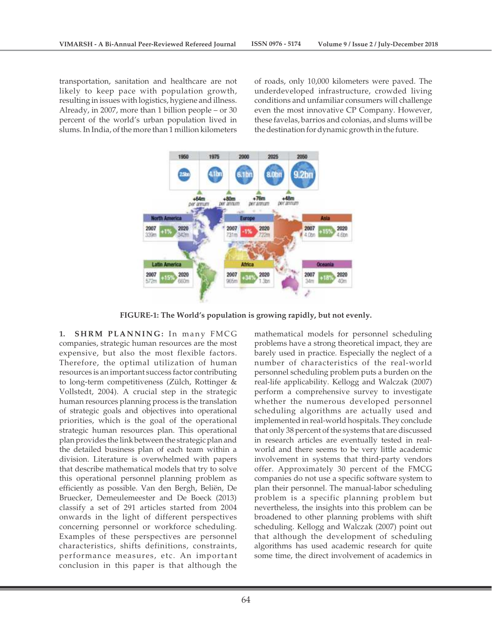transportation, sanitation and healthcare are not likely to keep pace with population growth, resulting in issues with logistics, hygiene and illness. Already, in 2007, more than 1 billion people – or 30 percent of the world's urban population lived in slums. In India, of the more than 1 million kilometers of roads, only 10,000 kilometers were paved. The underdeveloped infrastructure, crowded living conditions and unfamiliar consumers will challenge even the most innovative CP Company. However, these favelas, barrios and colonias, and slums will be the destination for dynamic growth in the future.



**FIGURE-1: The World's population is growing rapidly, but not evenly.**

**1. S H RM PLA N N I N G :** In many FMCG companies, strategic human resources are the most expensive, but also the most flexible factors. Therefore, the optimal utilization of human resources is an important success factor contributing to long-term competitiveness (Zülch, Rottinger & Vollstedt, 2004). A crucial step in the strategic human resources planning process is the translation of strategic goals and objectives into operational priorities, which is the goal of the operational strategic human resources plan. This operational plan provides the link between the strategic plan and the detailed business plan of each team within a division. Literature is overwhelmed with papers that describe mathematical models that try to solve this operational personnel planning problem as efficiently as possible. Van den Bergh, Beliën, De Bruecker, Demeulemeester and De Boeck (2013) classify a set of 291 articles started from 2004 onwards in the light of different perspectives concerning personnel or workforce scheduling. Examples of these perspectives are personnel characteristics, shifts definitions, constraints, performance measures, etc. An important conclusion in this paper is that although the

mathematical models for personnel scheduling problems have a strong theoretical impact, they are barely used in practice. Especially the neglect of a number of characteristics of the real-world personnel scheduling problem puts a burden on the real-life applicability. Kellogg and Walczak (2007) perform a comprehensive survey to investigate whether the numerous developed personnel scheduling algorithms are actually used and implemented in real-world hospitals. They conclude that only 38 percent of the systems that are discussed in research articles are eventually tested in realworld and there seems to be very little academic involvement in systems that third-party vendors offer. Approximately 30 percent of the FMCG companies do not use a specific software system to plan their personnel. The manual-labor scheduling problem is a specific planning problem but nevertheless, the insights into this problem can be broadened to other planning problems with shift scheduling. Kellogg and Walczak (2007) point out that although the development of scheduling algorithms has used academic research for quite some time, the direct involvement of academics in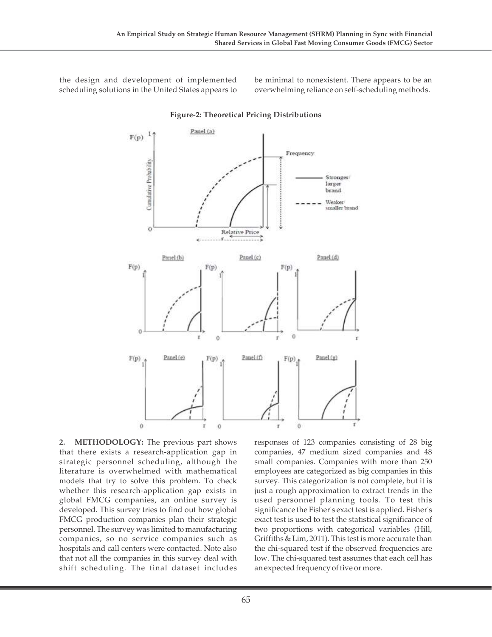the design and development of implemented scheduling solutions in the United States appears to be minimal to nonexistent. There appears to be an overwhelming reliance on self-scheduling methods.



## **Figure-2: Theoretical Pricing Distributions**

**2. METHODOLOGY:** The previous part shows that there exists a research-application gap in strategic personnel scheduling, although the literature is overwhelmed with mathematical models that try to solve this problem. To check whether this research-application gap exists in global FMCG companies, an online survey is developed. This survey tries to find out how global FMCG production companies plan their strategic personnel. The survey was limited to manufacturing companies, so no service companies such as hospitals and call centers were contacted. Note also that not all the companies in this survey deal with shift scheduling. The final dataset includes

responses of 123 companies consisting of 28 big companies, 47 medium sized companies and 48 small companies. Companies with more than 250 employees are categorized as big companies in this survey. This categorization is not complete, but it is just a rough approximation to extract trends in the used personnel planning tools. To test this significance the Fisher's exact test is applied. Fisher's exact test is used to test the statistical significance of two proportions with categorical variables (Hill, Griffiths & Lim, 2011). This test is more accurate than the chi-squared test if the observed frequencies are low. The chi-squared test assumes that each cell has an expected frequency of five or more.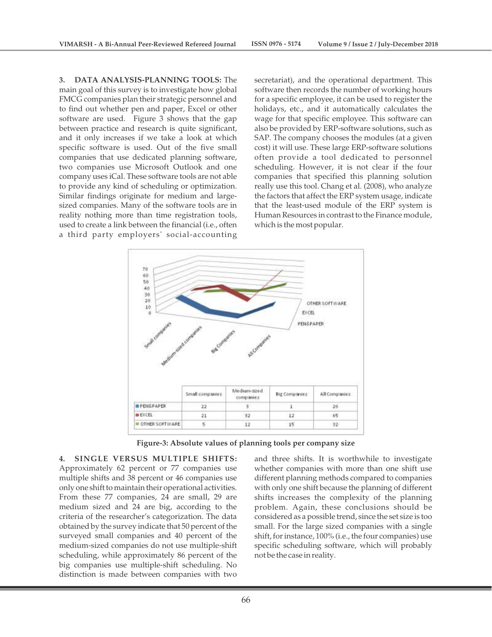**3. DATA ANALYSIS-PLANNING TOOLS:** The main goal of this survey is to investigate how global FMCG companies plan their strategic personnel and to find out whether pen and paper, Excel or other software are used. Figure 3 shows that the gap between practice and research is quite significant, and it only increases if we take a look at which specific software is used. Out of the five small companies that use dedicated planning software, two companies use Microsoft Outlook and one company uses iCal. These software tools are not able to provide any kind of scheduling or optimization. Similar findings originate for medium and largesized companies. Many of the software tools are in reality nothing more than time registration tools, used to create a link between the financial (i.e., often a third party employers' social-accounting

secretariat), and the operational department. This software then records the number of working hours for a specific employee, it can be used to register the holidays, etc., and it automatically calculates the wage for that specific employee. This software can also be provided by ERP-software solutions, such as SAP. The company chooses the modules (at a given cost) it will use. These large ERP-software solutions often provide a tool dedicated to personnel scheduling. However, it is not clear if the four companies that specified this planning solution really use this tool. Chang et al. (2008), who analyze the factors that affect the ERP system usage, indicate that the least-used module of the ERP system is Human Resources in contrast to the Finance module, which is the most popular.



**Figure-3: Absolute values of planning tools per company size**

#### **4. SINGLE VERSUS MULTIPLE SHIFTS:**

Approximately 62 percent or 77 companies use multiple shifts and 38 percent or 46 companies use only one shift to maintain their operational activities. From these 77 companies, 24 are small, 29 are medium sized and 24 are big, according to the criteria of the researcher's categorization. The data obtained by the survey indicate that 50 percent of the surveyed small companies and 40 percent of the medium-sized companies do not use multiple-shift scheduling, while approximately 86 percent of the big companies use multiple-shift scheduling. No distinction is made between companies with two

and three shifts. It is worthwhile to investigate whether companies with more than one shift use different planning methods compared to companies with only one shift because the planning of different shifts increases the complexity of the planning problem. Again, these conclusions should be considered as a possible trend, since the set size is too small. For the large sized companies with a single shift, for instance, 100% (i.e., the four companies) use specific scheduling software, which will probably not be the case in reality.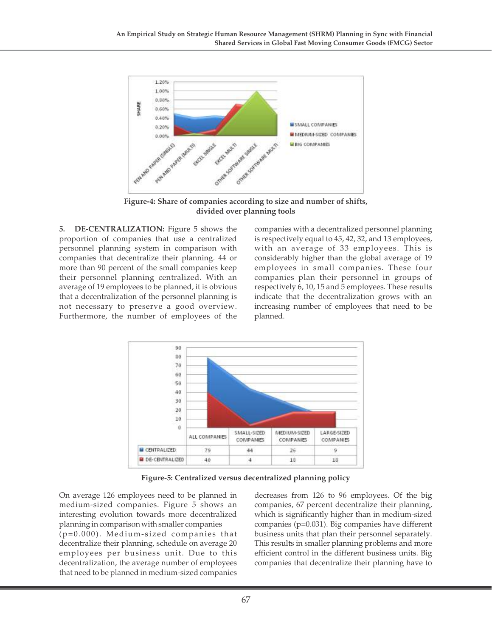

**Figure-4: Share of companies according to size and number of shifts, divided over planning tools**

**5. DE-CENTRALIZATION:** Figure 5 shows the proportion of companies that use a centralized personnel planning system in comparison with companies that decentralize their planning. 44 or more than 90 percent of the small companies keep their personnel planning centralized. With an average of 19 employees to be planned, it is obvious that a decentralization of the personnel planning is not necessary to preserve a good overview. Furthermore, the number of employees of the companies with a decentralized personnel planning is respectively equal to 45, 42, 32, and 13 employees, with an average of 33 employees. This is considerably higher than the global average of 19 employees in small companies. These four companies plan their personnel in groups of respectively 6, 10, 15 and 5 employees. These results indicate that the decentralization grows with an increasing number of employees that need to be planned.



**Figure-5: Centralized versus decentralized planning policy**

On average 126 employees need to be planned in medium-sized companies. Figure 5 shows an interesting evolution towards more decentralized planning in comparison with smaller companies  $(p=0.000)$ . Medium-sized companies that decentralize their planning, schedule on average 20 employees per business unit. Due to this decentralization, the average number of employees that need to be planned in medium-sized companies

decreases from 126 to 96 employees. Of the big companies, 67 percent decentralize their planning, which is significantly higher than in medium-sized companies (p=0.031). Big companies have different business units that plan their personnel separately. This results in smaller planning problems and more efficient control in the different business units. Big companies that decentralize their planning have to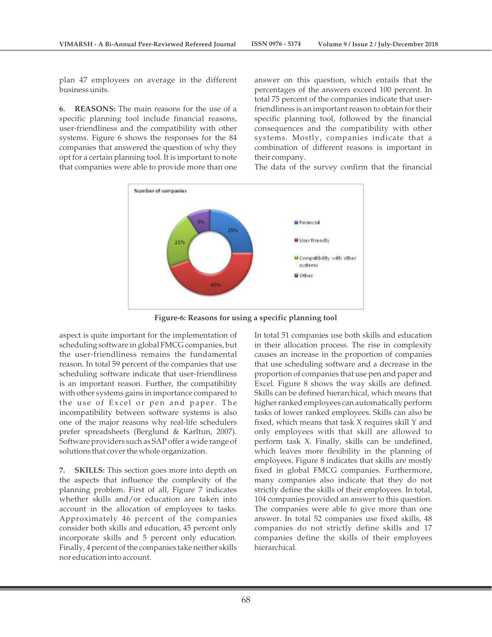plan 47 employees on average in the different business units.

**6. REASONS:** The main reasons for the use of a specific planning tool include financial reasons, user-friendliness and the compatibility with other systems. Figure 6 shows the responses for the 84 companies that answered the question of why they opt for a certain planning tool. It is important to note that companies were able to provide more than one

answer on this question, which entails that the percentages of the answers exceed 100 percent. In total 75 percent of the companies indicate that userfriendliness is an important reason to obtain for their specific planning tool, followed by the financial consequences and the compatibility with other systems. Mostly, companies indicate that a combination of different reasons is important in their company.

The data of the survey confirm that the financial



**Figure-6: Reasons for using a specific planning tool**

aspect is quite important for the implementation of scheduling software in global FMCG companies, but the user-friendliness remains the fundamental reason. In total 59 percent of the companies that use scheduling software indicate that user-friendliness is an important reason. Further, the compatibility with other systems gains in importance compared to the use of Excel or pen and paper. The incompatibility between software systems is also one of the major reasons why real-life schedulers prefer spreadsheets (Berglund & Karltun, 2007). Software providers such as SAP offer a wide range of solutions that cover the whole organization.

**7. SKILLS:** This section goes more into depth on the aspects that influence the complexity of the planning problem. First of all, Figure 7 indicates whether skills and/or education are taken into account in the allocation of employees to tasks. Approximately 46 percent of the companies consider both skills and education, 45 percent only incorporate skills and 5 percent only education. Finally, 4 percent of the companies take neither skills nor education into account.

In total 51 companies use both skills and education in their allocation process. The rise in complexity causes an increase in the proportion of companies that use scheduling software and a decrease in the proportion of companies that use pen and paper and Excel. Figure 8 shows the way skills are defined. Skills can be defined hierarchical, which means that higher ranked employees can automatically perform tasks of lower ranked employees. Skills can also be fixed, which means that task X requires skill Y and only employees with that skill are allowed to perform task X. Finally, skills can be undefined, which leaves more flexibility in the planning of employees. Figure 8 indicates that skills are mostly fixed in global FMCG companies. Furthermore, many companies also indicate that they do not strictly define the skills of their employees. In total, 104 companies provided an answer to this question. The companies were able to give more than one answer. In total 52 companies use fixed skills, 48 companies do not strictly define skills and 17 companies define the skills of their employees hierarchical.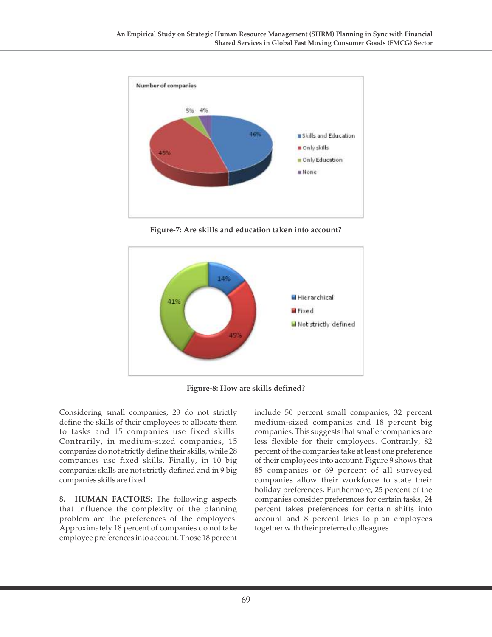

**Figure-7: Are skills and education taken into account?**



**Figure-8: How are skills defined?**

Considering small companies, 23 do not strictly define the skills of their employees to allocate them to tasks and 15 companies use fixed skills. Contrarily, in medium-sized companies, 15 companies do not strictly define their skills, while 28 companies use fixed skills. Finally, in 10 big companies skills are not strictly defined and in 9 big companies skills are fixed.

**8. HUMAN FACTORS:** The following aspects that influence the complexity of the planning problem are the preferences of the employees. Approximately 18 percent of companies do not take employee preferences into account. Those 18 percent

include 50 percent small companies, 32 percent medium-sized companies and 18 percent big companies. This suggests that smaller companies are less flexible for their employees. Contrarily, 82 percent of the companies take at least one preference of their employees into account. Figure 9 shows that 85 companies or 69 percent of all surveyed companies allow their workforce to state their holiday preferences. Furthermore, 25 percent of the companies consider preferences for certain tasks, 24 percent takes preferences for certain shifts into account and 8 percent tries to plan employees together with their preferred colleagues.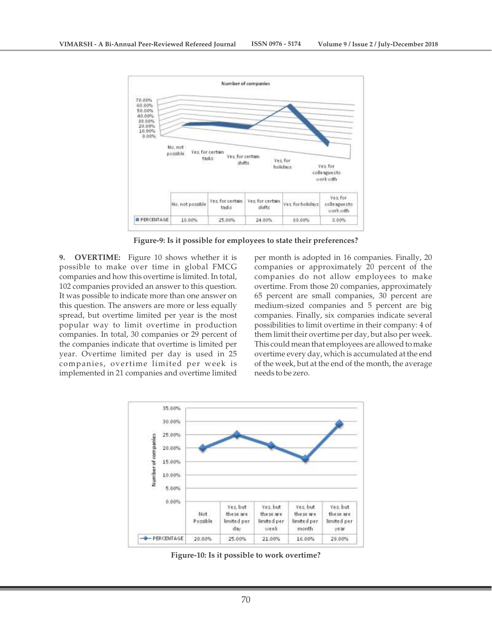

**Figure-9: Is it possible for employees to state their preferences?**

**9. OVERTIME:** Figure 10 shows whether it is possible to make over time in global FMCG companies and how this overtime is limited. In total, 102 companies provided an answer to this question. It was possible to indicate more than one answer on this question. The answers are more or less equally spread, but overtime limited per year is the most popular way to limit overtime in production companies. In total, 30 companies or 29 percent of the companies indicate that overtime is limited per year. Overtime limited per day is used in 25 companies, overtime limited per week is implemented in 21 companies and overtime limited

per month is adopted in 16 companies. Finally, 20 companies or approximately 20 percent of the companies do not allow employees to make overtime. From those 20 companies, approximately 65 percent are small companies, 30 percent are medium-sized companies and 5 percent are big companies. Finally, six companies indicate several possibilities to limit overtime in their company: 4 of them limit their overtime per day, but also per week. This could mean that employees are allowed to make overtime every day, which is accumulated at the end of the week, but at the end of the month, the average needs to be zero.



**Figure-10: Is it possible to work overtime?**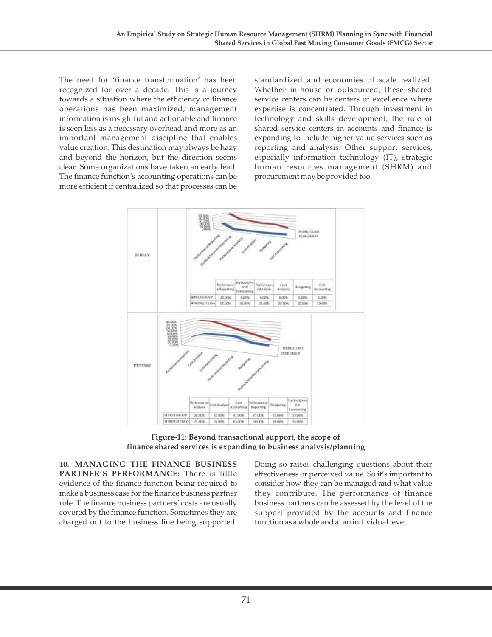The need for 'finance transformation' has been recognized for over a decade. This is a journey towards a situation where the efficiency of finance operations has been maximized, management information is insightful and actionable and finance is seen less as a necessary overhead and more as an important management discipline that enables value creation. This destination may always be hazy and beyond the horizon, but the direction seems clear. Some organizations have taken an early lead. The finance function's accounting operations can be more efficient if centralized so that processes can be standardized and economies of scale realized. Whether in-house or outsourced, these shared service centers can be centers of excellence where expertise is concentrated. Through investment in technology and skills development, the role of shared service centers in accounts and finance is expanding to include higher value services such as reporting and analysis. Other support services, especially information technology (IT), strategic human resources management (SHRM) and procurement may be provided too.



**Figure-11: Beyond transactional support, the scope of finance shared services is expanding to business analysis/planning**

**10. MANAGING THE FINANCE BUSINESS PARTNER'S PERFORMANCE:** There is little evidence of the finance function being required to make a business case for the finance business partner role. The finance business partners' costs are usually covered by the finance function. Sometimes they are charged out to the business line being supported. Doing so raises challenging questions about their effectiveness or perceived value. So it's important to consider how they can be managed and what value they contribute. The performance of finance business partners can be assessed by the level of the support provided by the accounts and finance function as a whole and at an individual level.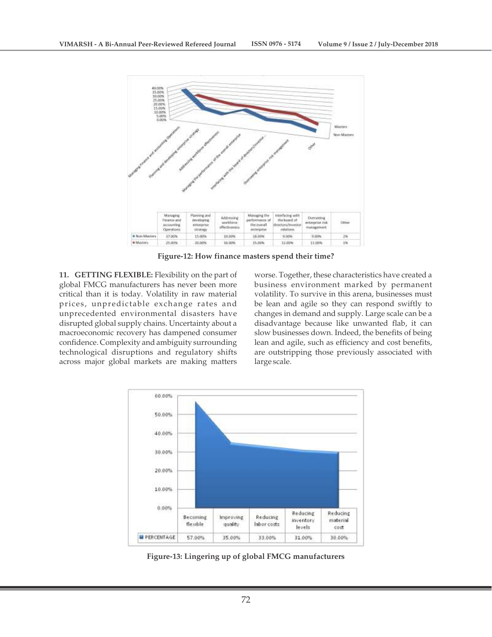

**Figure-12: How finance masters spend their time?**

**11. GETTING FLEXIBLE:** Flexibility on the part of global FMCG manufacturers has never been more critical than it is today. Volatility in raw material prices, unpredictable exchange rates and unprecedented environmental disasters have disrupted global supply chains. Uncertainty about a macroeconomic recovery has dampened consumer confidence. Complexity and ambiguity surrounding technological disruptions and regulatory shifts across major global markets are making matters

worse. Together, these characteristics have created a business environment marked by permanent volatility. To survive in this arena, businesses must be lean and agile so they can respond swiftly to changes in demand and supply. Large scale can be a disadvantage because like unwanted flab, it can slow businesses down. Indeed, the benefits of being lean and agile, such as efficiency and cost benefits, are outstripping those previously associated with large scale.



**Figure-13: Lingering up of global FMCG manufacturers**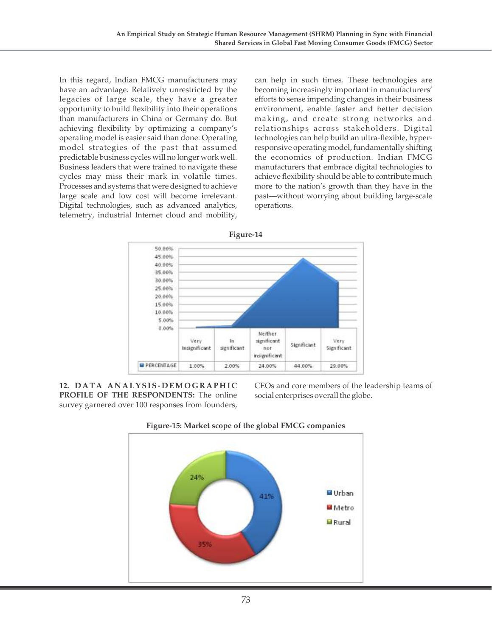In this regard, Indian FMCG manufacturers may have an advantage. Relatively unrestricted by the legacies of large scale, they have a greater opportunity to build flexibility into their operations than manufacturers in China or Germany do. But achieving flexibility by optimizing a company's operating model is easier said than done. Operating model strategies of the past that assumed predictable business cycles will no longer work well. Business leaders that were trained to navigate these cycles may miss their mark in volatile times. Processes and systems that were designed to achieve large scale and low cost will become irrelevant. Digital technologies, such as advanced analytics, telemetry, industrial Internet cloud and mobility, can help in such times. These technologies are becoming increasingly important in manufacturers' efforts to sense impending changes in their business environment, enable faster and better decision making, and create strong networks and relationships across stakeholders. Digital technologies can help build an ultra-flexible, hyperresponsive operating model, fundamentally shifting the economics of production. Indian FMCG manufacturers that embrace digital technologies to achieve flexibility should be able to contribute much more to the nation's growth than they have in the past—without worrying about building large-scale operations.



**12. D ATA A N ALYSIS- D EMO G RAP H I C PROFILE OF THE RESPONDENTS:** The online survey garnered over 100 responses from founders,

CEOs and core members of the leadership teams of social enterprises overall the globe.



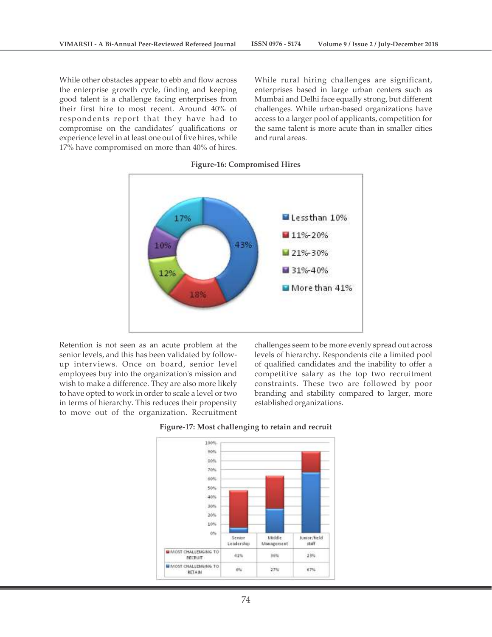**VIMARSH - A Bi-Annual Peer-Reviewed Refereed Journal ISSN 0976 - 5174 Volume 9 / Issue 2 / July-December 2018**

While other obstacles appear to ebb and flow across the enterprise growth cycle, finding and keeping good talent is a challenge facing enterprises from their first hire to most recent. Around 40% of respondents report that they have had to compromise on the candidates' qualifications or experience level in at least one out of five hires, while 17% have compromised on more than 40% of hires.

While rural hiring challenges are significant, enterprises based in large urban centers such as Mumbai and Delhi face equally strong, but different challenges. While urban-based organizations have access to a larger pool of applicants, competition for the same talent is more acute than in smaller cities and rural areas.



#### **Figure-16: Compromised Hires**

Retention is not seen as an acute problem at the senior levels, and this has been validated by followup interviews. Once on board, senior level employees buy into the organization's mission and wish to make a difference. They are also more likely to have opted to work in order to scale a level or two in terms of hierarchy. This reduces their propensity to move out of the organization. Recruitment

challenges seem to be more evenly spread out across levels of hierarchy. Respondents cite a limited pool of qualified candidates and the inability to offer a competitive salary as the top two recruitment constraints. These two are followed by poor branding and stability compared to larger, more established organizations.



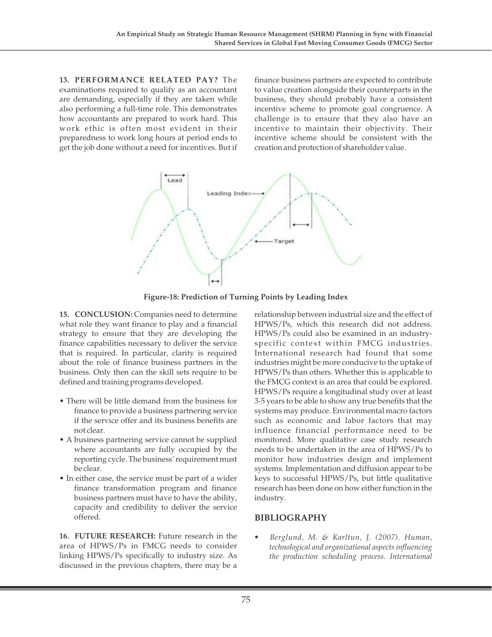**13. PERFORMANCE RELATED PAY?** The examinations required to qualify as an accountant are demanding, especially if they are taken while also performing a full-time role. This demonstrates how accountants are prepared to work hard. This work ethic is often most evident in their preparedness to work long hours at period ends to get the job done without a need for incentives. But if finance business partners are expected to contribute to value creation alongside their counterparts in the business, they should probably have a consistent incentive scheme to promote goal congruence. A challenge is to ensure that they also have an incentive to maintain their objectivity. Their incentive scheme should be consistent with the creation and protection of shareholder value.



**Figure-18: Prediction of Turning Points by Leading Index**

**15. CONCLUSION:** Companies need to determine what role they want finance to play and a financial strategy to ensure that they are developing the finance capabilities necessary to deliver the service that is required. In particular, clarity is required about the role of finance business partners in the business. Only then can the skill sets require to be defined and training programs developed.

- There will be little demand from the business for finance to provide a business partnering service if the service offer and its business benefits are not clear.
- A business partnering service cannot be supplied where accountants are fully occupied by the reporting cycle. The business' requirement must be clear.
- In either case, the service must be part of a wider finance transformation program and finance business partners must have to have the ability, capacity and credibility to deliver the service offered.

**16. FUTURE RESEARCH:** Future research in the area of HPWS/Ps in FMCG needs to consider linking HPWS/Ps specifically to industry size. As discussed in the previous chapters, there may be a

relationship between industrial size and the effect of HPWS/Ps, which this research did not address. HPWS/Ps could also be examined in an industryspecific context within FMCG industries. International research had found that some industries might be more conducive to the uptake of HPWS/Ps than others. Whether this is applicable to the FMCG context is an area that could be explored. HPWS/Ps require a longitudinal study over at least 3-5 years to be able to show any true benefits that the systems may produce. Environmental macro factors such as economic and labor factors that may influence financial performance need to be monitored. More qualitative case study research needs to be undertaken in the area of HPWS/Ps to monitor how industries design and implement systems. Implementation and diffusion appear to be keys to successful HPWS/Ps, but little qualitative research has been done on how either function in the industry.

# **BIBLIOGRAPHY**

*• Berglund, M. & Karltun, J. (2007). Human, technological and organizational aspects influencing the production scheduling process. International*